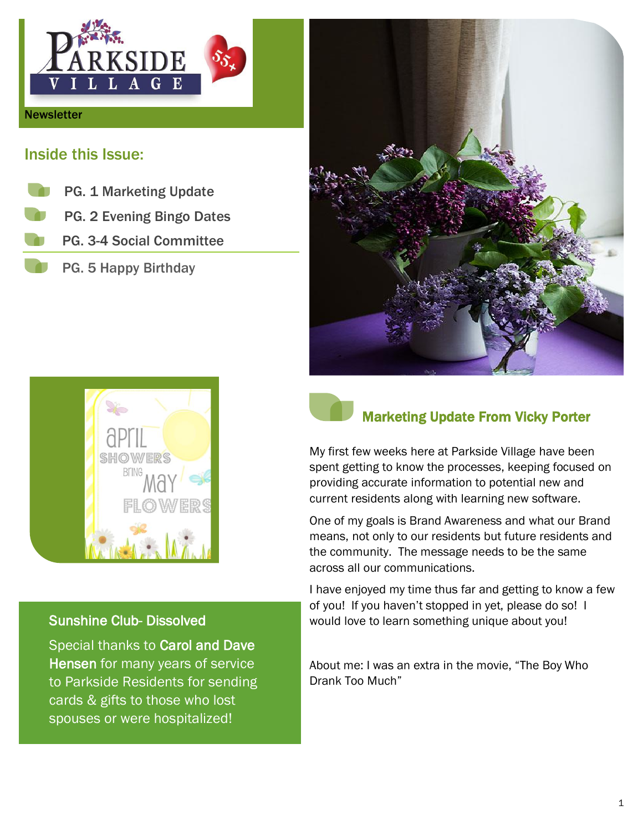

### Inside this Issue:

 PG. 1 Marketing Update PG. 2 Evening Bingo Dates PG. 3-4 Social Committee PG. 5 Happy Birthday



#### Sunshine Club- Dissolved

Special thanks to Carol and Dave Hensen for many years of service to Parkside Residents for sending cards & gifts to those who lost spouses or were hospitalized!





### Marketing Update From Vicky Porter

My first few weeks here at Parkside Village have been spent getting to know the processes, keeping focused on providing accurate information to potential new and current residents along with learning new software.

One of my goals is Brand Awareness and what our Brand means, not only to our residents but future residents and the community. The message needs to be the same across all our communications.

I have enjoyed my time thus far and getting to know a few of you! If you haven't stopped in yet, please do so! I would love to learn something unique about you!

About me: I was an extra in the movie, "The Boy Who Drank Too Much"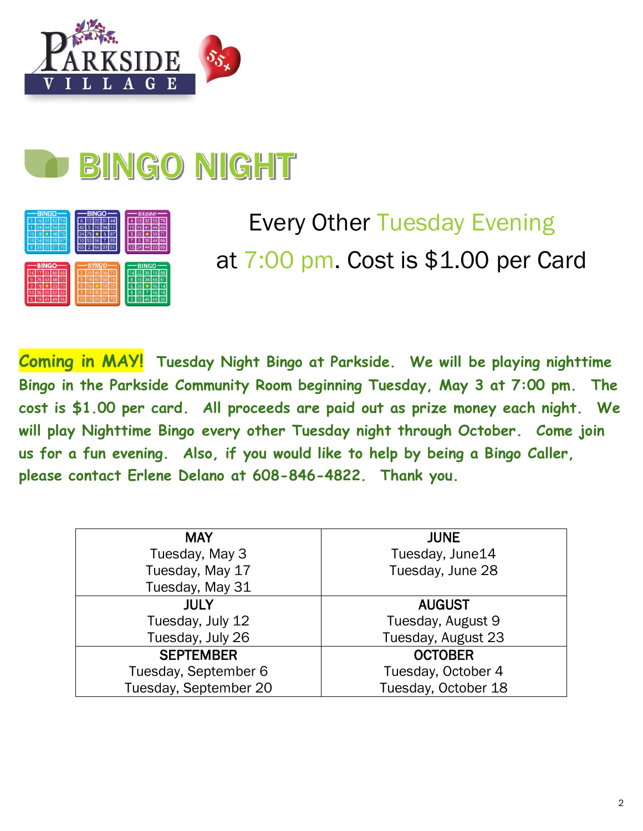

# **BINGO NIGHT**



# Every Other Tuesday Evening at 7:00 pm. Cost is \$1.00 per Card

**Coming in MAY! Tuesday Night Bingo at Parkside. We will be playing nighttime Bingo in the Parkside Community Room beginning Tuesday, May 3 at 7:00 pm. The cost is \$1.00 per card. All proceeds are paid out as prize money each night. We will play Nighttime Bingo every other Tuesday night through October. Come join us for a fun evening. Also, if you would like to help by being a Bingo Caller, please contact Erlene Delano at 608-846-4822. Thank you.**

| <b>MAY</b>            | <b>JUNE</b>         |
|-----------------------|---------------------|
| Tuesday, May 3        | Tuesday, June14     |
| Tuesday, May 17       | Tuesday, June 28    |
| Tuesday, May 31       |                     |
| <b>JULY</b>           | <b>AUGUST</b>       |
| Tuesday, July 12      | Tuesday, August 9   |
| Tuesday, July 26      | Tuesday, August 23  |
| <b>SEPTEMBER</b>      | <b>OCTOBER</b>      |
| Tuesday, September 6  | Tuesday, October 4  |
| Tuesday, September 20 | Tuesday, October 18 |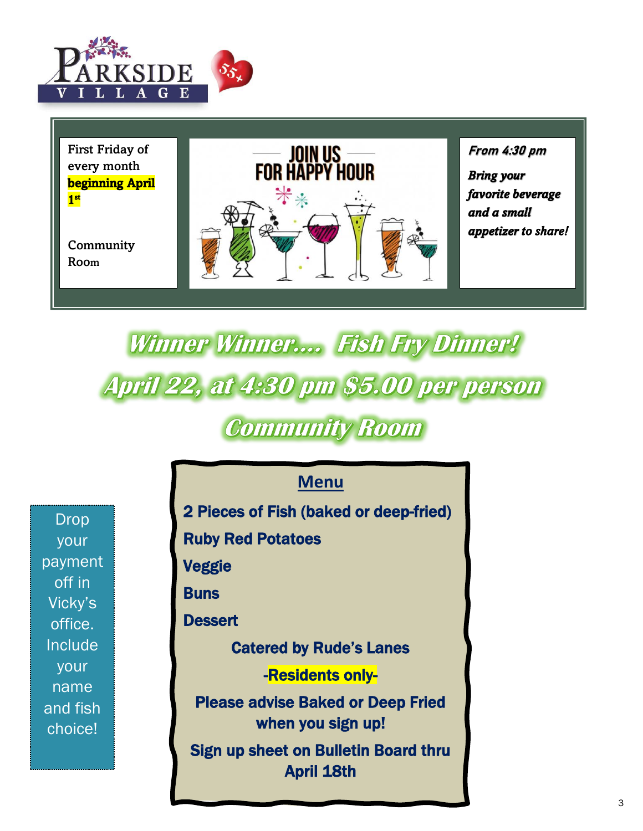

First Friday of every month beginning April 1 st

**Community** Room



*favorite beverage and a small appetizer to share!* 

# Winner Winner.... Fish Fry Dinner! **April 22, at 4:30 pm \$5.00 per person**

### **Community Room**

Drop your payment off in Vicky's office. Include your name and fish choice!

### **Menu**

2 Pieces of Fish (baked or deep-fried)

Ruby Red Potatoes

Veggie

**Buns** 

**Dessert** 

Catered by Rude's Lanes

-Residents only-

Please advise Baked or Deep Fried when you sign up!

Sign up sheet on Bulletin Board thru **April 18th**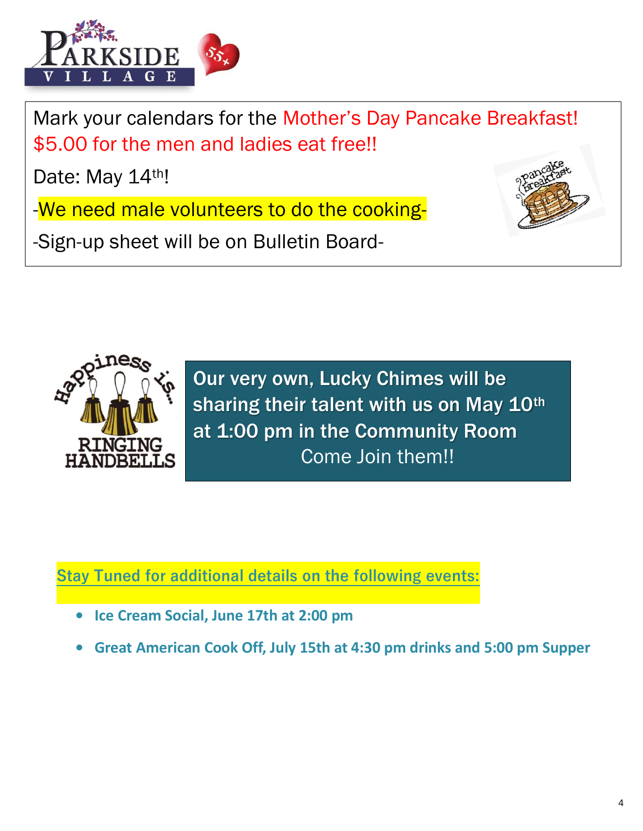

Mark your calendars for the Mother's Day Pancake Breakfast! \$5.00 for the men and ladies eat free!!

Date: May 14th!

-We need male volunteers to do the cooking-

-Sign-up sheet will be on Bulletin Board-





Our very own, Lucky Chimes will be sharing their talent with us on May 10th at 1:00 pm in the Community Room Come Join them!!

**Stay Tuned for additional details on the following events:**

- **Ice Cream Social, June 17th at 2:00 pm**
- **Great American Cook Off, July 15th at 4:30 pm drinks and 5:00 pm Supper**